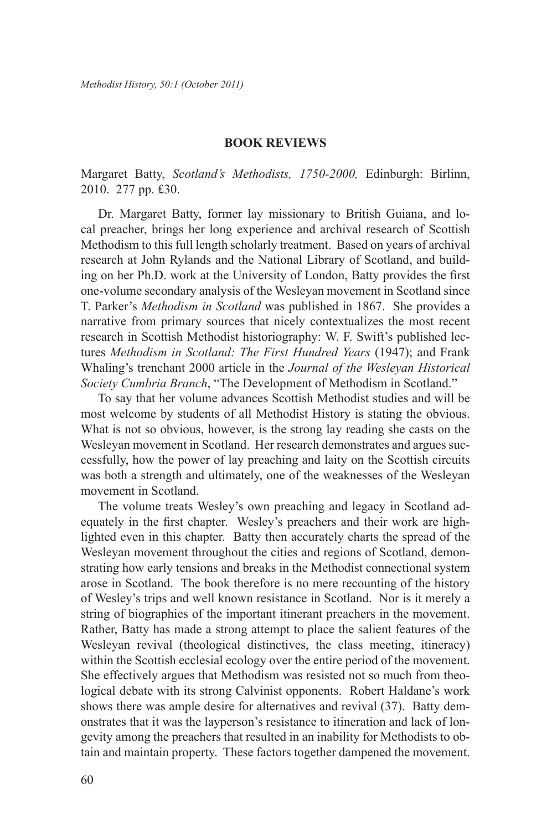## **Book Reviews**

Margaret Batty, *Scotland's Methodists, 1750-2000,* Edinburgh: Birlinn, 2010. 277 pp. £30.

Dr. Margaret Batty, former lay missionary to British Guiana, and local preacher, brings her long experience and archival research of Scottish Methodism to this full length scholarly treatment. Based on years of archival research at John Rylands and the National Library of Scotland, and building on her Ph.D. work at the University of London, Batty provides the first one-volume secondary analysis of the Wesleyan movement in Scotland since T. Parker's *Methodism in Scotland* was published in 1867. She provides a narrative from primary sources that nicely contextualizes the most recent research in Scottish Methodist historiography: W. F. Swift's published lectures *Methodism in Scotland: The First Hundred Years* (1947); and Frank Whaling's trenchant 2000 article in the *Journal of the Wesleyan Historical Society Cumbria Branch*, "The Development of Methodism in Scotland."

To say that her volume advances Scottish Methodist studies and will be most welcome by students of all Methodist History is stating the obvious. What is not so obvious, however, is the strong lay reading she casts on the Wesleyan movement in Scotland. Her research demonstrates and argues successfully, how the power of lay preaching and laity on the Scottish circuits was both a strength and ultimately, one of the weaknesses of the Wesleyan movement in Scotland.

The volume treats Wesley's own preaching and legacy in Scotland adequately in the first chapter. Wesley's preachers and their work are highlighted even in this chapter. Batty then accurately charts the spread of the Wesleyan movement throughout the cities and regions of Scotland, demonstrating how early tensions and breaks in the Methodist connectional system arose in Scotland. The book therefore is no mere recounting of the history of Wesley's trips and well known resistance in Scotland. Nor is it merely a string of biographies of the important itinerant preachers in the movement. Rather, Batty has made a strong attempt to place the salient features of the Wesleyan revival (theological distinctives, the class meeting, itineracy) within the Scottish ecclesial ecology over the entire period of the movement. She effectively argues that Methodism was resisted not so much from theological debate with its strong Calvinist opponents. Robert Haldane's work shows there was ample desire for alternatives and revival (37). Batty demonstrates that it was the layperson's resistance to itineration and lack of longevity among the preachers that resulted in an inability for Methodists to obtain and maintain property. These factors together dampened the movement.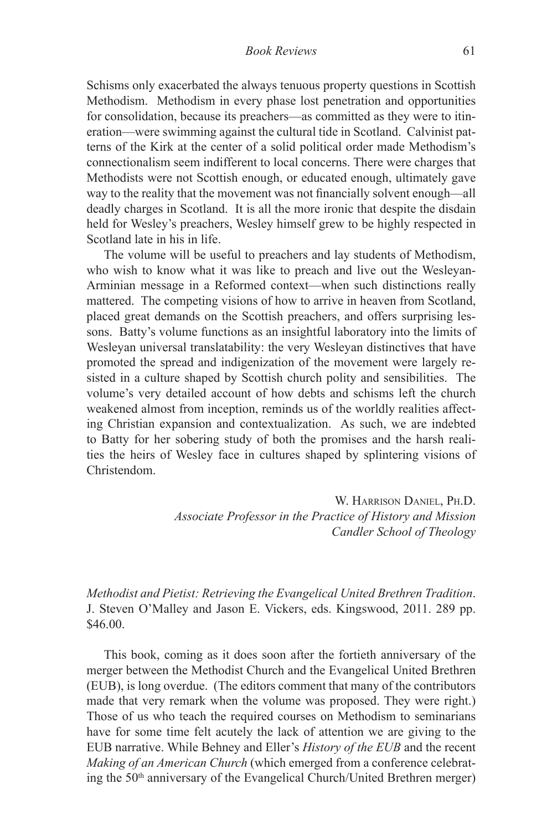Schisms only exacerbated the always tenuous property questions in Scottish Methodism. Methodism in every phase lost penetration and opportunities for consolidation, because its preachers—as committed as they were to itineration—were swimming against the cultural tide in Scotland. Calvinist patterns of the Kirk at the center of a solid political order made Methodism's connectionalism seem indifferent to local concerns. There were charges that Methodists were not Scottish enough, or educated enough, ultimately gave way to the reality that the movement was not financially solvent enough—all deadly charges in Scotland. It is all the more ironic that despite the disdain held for Wesley's preachers, Wesley himself grew to be highly respected in Scotland late in his in life.

The volume will be useful to preachers and lay students of Methodism, who wish to know what it was like to preach and live out the Wesleyan-Arminian message in a Reformed context—when such distinctions really mattered. The competing visions of how to arrive in heaven from Scotland, placed great demands on the Scottish preachers, and offers surprising lessons. Batty's volume functions as an insightful laboratory into the limits of Wesleyan universal translatability: the very Wesleyan distinctives that have promoted the spread and indigenization of the movement were largely resisted in a culture shaped by Scottish church polity and sensibilities. The volume's very detailed account of how debts and schisms left the church weakened almost from inception, reminds us of the worldly realities affecting Christian expansion and contextualization. As such, we are indebted to Batty for her sobering study of both the promises and the harsh realities the heirs of Wesley face in cultures shaped by splintering visions of Christendom.

> W. Harrison Daniel, Ph.D. *Associate Professor in the Practice of History and Mission Candler School of Theology*

*Methodist and Pietist: Retrieving the Evangelical United Brethren Tradition*. J. Steven O'Malley and Jason E. Vickers, eds. Kingswood, 2011. 289 pp. \$46.00.

This book, coming as it does soon after the fortieth anniversary of the merger between the Methodist Church and the Evangelical United Brethren (EUB), is long overdue. (The editors comment that many of the contributors made that very remark when the volume was proposed. They were right.) Those of us who teach the required courses on Methodism to seminarians have for some time felt acutely the lack of attention we are giving to the EUB narrative. While Behney and Eller's *History of the EUB* and the recent *Making of an American Church* (which emerged from a conference celebrating the 50th anniversary of the Evangelical Church/United Brethren merger)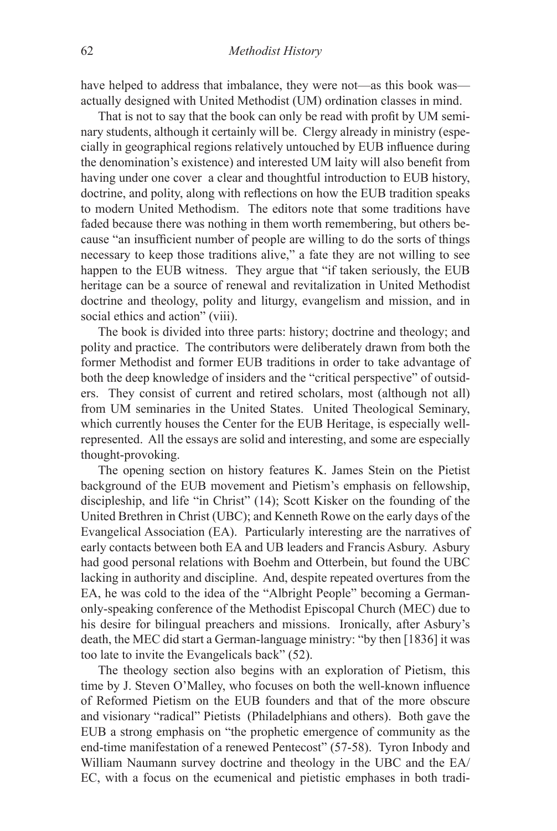have helped to address that imbalance, they were not—as this book was actually designed with United Methodist (UM) ordination classes in mind.

That is not to say that the book can only be read with profit by UM seminary students, although it certainly will be. Clergy already in ministry (especially in geographical regions relatively untouched by EUB influence during the denomination's existence) and interested UM laity will also benefit from having under one cover a clear and thoughtful introduction to EUB history, doctrine, and polity, along with reflections on how the EUB tradition speaks to modern United Methodism. The editors note that some traditions have faded because there was nothing in them worth remembering, but others because "an insufficient number of people are willing to do the sorts of things necessary to keep those traditions alive," a fate they are not willing to see happen to the EUB witness. They argue that "if taken seriously, the EUB heritage can be a source of renewal and revitalization in United Methodist doctrine and theology, polity and liturgy, evangelism and mission, and in social ethics and action" (viii).

The book is divided into three parts: history; doctrine and theology; and polity and practice. The contributors were deliberately drawn from both the former Methodist and former EUB traditions in order to take advantage of both the deep knowledge of insiders and the "critical perspective" of outsiders. They consist of current and retired scholars, most (although not all) from UM seminaries in the United States. United Theological Seminary, which currently houses the Center for the EUB Heritage, is especially wellrepresented. All the essays are solid and interesting, and some are especially thought-provoking.

The opening section on history features K. James Stein on the Pietist background of the EUB movement and Pietism's emphasis on fellowship, discipleship, and life "in Christ" (14); Scott Kisker on the founding of the United Brethren in Christ (UBC); and Kenneth Rowe on the early days of the Evangelical Association (EA). Particularly interesting are the narratives of early contacts between both EA and UB leaders and Francis Asbury. Asbury had good personal relations with Boehm and Otterbein, but found the UBC lacking in authority and discipline. And, despite repeated overtures from the EA, he was cold to the idea of the "Albright People" becoming a Germanonly-speaking conference of the Methodist Episcopal Church (MEC) due to his desire for bilingual preachers and missions. Ironically, after Asbury's death, the MEC did start a German-language ministry: "by then [1836] it was too late to invite the Evangelicals back" (52).

The theology section also begins with an exploration of Pietism, this time by J. Steven O'Malley, who focuses on both the well-known influence of Reformed Pietism on the EUB founders and that of the more obscure and visionary "radical" Pietists (Philadelphians and others). Both gave the EUB a strong emphasis on "the prophetic emergence of community as the end-time manifestation of a renewed Pentecost" (57-58). Tyron Inbody and William Naumann survey doctrine and theology in the UBC and the EA/ EC, with a focus on the ecumenical and pietistic emphases in both tradi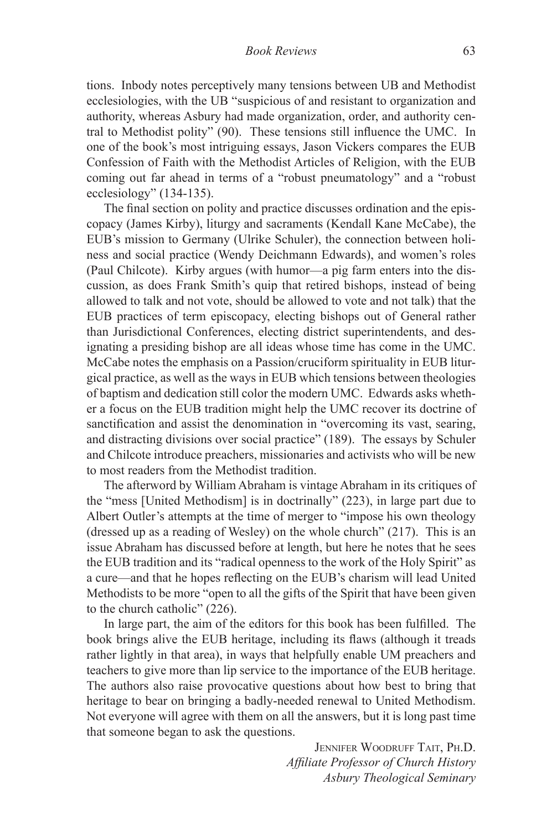tions. Inbody notes perceptively many tensions between UB and Methodist ecclesiologies, with the UB "suspicious of and resistant to organization and authority, whereas Asbury had made organization, order, and authority central to Methodist polity" (90). These tensions still influence the UMC. In one of the book's most intriguing essays, Jason Vickers compares the EUB Confession of Faith with the Methodist Articles of Religion, with the EUB coming out far ahead in terms of a "robust pneumatology" and a "robust ecclesiology" (134-135).

The final section on polity and practice discusses ordination and the episcopacy (James Kirby), liturgy and sacraments (Kendall Kane McCabe), the EUB's mission to Germany (Ulrike Schuler), the connection between holiness and social practice (Wendy Deichmann Edwards), and women's roles (Paul Chilcote). Kirby argues (with humor—a pig farm enters into the discussion, as does Frank Smith's quip that retired bishops, instead of being allowed to talk and not vote, should be allowed to vote and not talk) that the EUB practices of term episcopacy, electing bishops out of General rather than Jurisdictional Conferences, electing district superintendents, and designating a presiding bishop are all ideas whose time has come in the UMC. McCabe notes the emphasis on a Passion/cruciform spirituality in EUB liturgical practice, as well as the ways in EUB which tensions between theologies of baptism and dedication still color the modern UMC. Edwards asks whether a focus on the EUB tradition might help the UMC recover its doctrine of sanctification and assist the denomination in "overcoming its vast, searing, and distracting divisions over social practice" (189). The essays by Schuler and Chilcote introduce preachers, missionaries and activists who will be new to most readers from the Methodist tradition.

The afterword by William Abraham is vintage Abraham in its critiques of the "mess [United Methodism] is in doctrinally" (223), in large part due to Albert Outler's attempts at the time of merger to "impose his own theology (dressed up as a reading of Wesley) on the whole church" (217). This is an issue Abraham has discussed before at length, but here he notes that he sees the EUB tradition and its "radical openness to the work of the Holy Spirit" as a cure—and that he hopes reflecting on the EUB's charism will lead United Methodists to be more "open to all the gifts of the Spirit that have been given to the church catholic" (226).

In large part, the aim of the editors for this book has been fulfilled. The book brings alive the EUB heritage, including its flaws (although it treads rather lightly in that area), in ways that helpfully enable UM preachers and teachers to give more than lip service to the importance of the EUB heritage. The authors also raise provocative questions about how best to bring that heritage to bear on bringing a badly-needed renewal to United Methodism. Not everyone will agree with them on all the answers, but it is long past time that someone began to ask the questions.

> JENNIFER WOODRUFF TAIT, PH.D. *Affiliate Professor of Church History Asbury Theological Seminary*